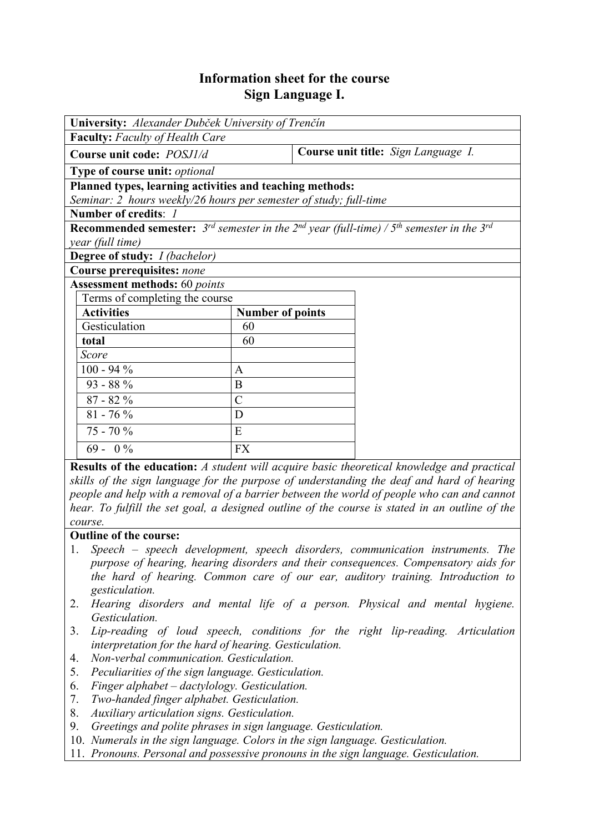## **Information sheet for the course Sign Language I.**

| University: Alexander Dubček University of Trenčín                                                                  |                         |                                     |  |  |  |  |
|---------------------------------------------------------------------------------------------------------------------|-------------------------|-------------------------------------|--|--|--|--|
| <b>Faculty:</b> Faculty of Health Care                                                                              |                         |                                     |  |  |  |  |
| Course unit code: POSJ1/d                                                                                           |                         | Course unit title: Sign Language I. |  |  |  |  |
| Type of course unit: optional                                                                                       |                         |                                     |  |  |  |  |
| Planned types, learning activities and teaching methods:                                                            |                         |                                     |  |  |  |  |
| Seminar: 2 hours weekly/26 hours per semester of study; full-time                                                   |                         |                                     |  |  |  |  |
| Number of credits: 1                                                                                                |                         |                                     |  |  |  |  |
| <b>Recommended semester:</b> $3^{rd}$ semester in the $2^{nd}$ year (full-time) / $5^{th}$ semester in the $3^{rd}$ |                         |                                     |  |  |  |  |
| year (full time)                                                                                                    |                         |                                     |  |  |  |  |
| <b>Degree of study:</b> <i>I (bachelor)</i>                                                                         |                         |                                     |  |  |  |  |
| Course prerequisites: none                                                                                          |                         |                                     |  |  |  |  |
| <b>Assessment methods:</b> 60 points                                                                                |                         |                                     |  |  |  |  |
| Terms of completing the course                                                                                      |                         |                                     |  |  |  |  |
| <b>Activities</b>                                                                                                   | <b>Number of points</b> |                                     |  |  |  |  |
| Gesticulation                                                                                                       | 60                      |                                     |  |  |  |  |
| total                                                                                                               | 60                      |                                     |  |  |  |  |
| Score                                                                                                               |                         |                                     |  |  |  |  |
| $100 - 94 %$                                                                                                        | $\overline{A}$          |                                     |  |  |  |  |
| $93 - 88\%$                                                                                                         | B                       |                                     |  |  |  |  |
| $87 - 82%$                                                                                                          | $\overline{C}$          |                                     |  |  |  |  |
| $81 - 76%$                                                                                                          | D                       |                                     |  |  |  |  |
| $75 - 70%$                                                                                                          | E                       |                                     |  |  |  |  |
| $69 - 0\%$                                                                                                          | <b>FX</b>               |                                     |  |  |  |  |

**Results of the education:** *A student will acquire basic theoretical knowledge and practical skills of the sign language for the purpose of understanding the deaf and hard of hearing people and help with a removal of a barrier between the world of people who can and cannot hear. To fulfill the set goal, a designed outline of the course is stated in an outline of the course.*

## **Outline of the course:**

- 1. *Speech speech development, speech disorders, communication instruments. The purpose of hearing, hearing disorders and their consequences. Compensatory aids for the hard of hearing. Common care of our ear, auditory training. Introduction to gesticulation.*
- 2. *Hearing disorders and mental life of a person. Physical and mental hygiene. Gesticulation.*
- 3. *Lip-reading of loud speech, conditions for the right lip-reading. Articulation interpretation for the hard of hearing. Gesticulation.*
- 4. *Non-verbal communication. Gesticulation.*
- 5. *Peculiarities of the sign language. Gesticulation.*
- 6. *Finger alphabet dactylology. Gesticulation.*
- 7. *Two-handed finger alphabet. Gesticulation.*
- 8. *Auxiliary articulation signs. Gesticulation.*
- 9. *Greetings and polite phrases in sign language. Gesticulation.*
- 10. *Numerals in the sign language. Colors in the sign language. Gesticulation.*
- 11. *Pronouns. Personal and possessive pronouns in the sign language. Gesticulation.*